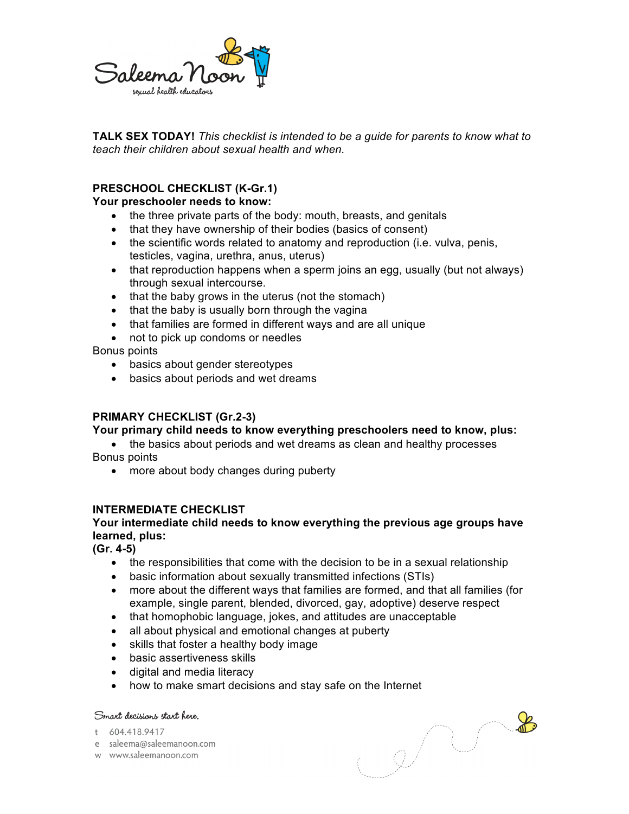

**TALK SEX TODAY!** *This checklist is intended to be a guide for parents to know what to teach their children about sexual health and when.* 

# **PRESCHOOL CHECKLIST (K-Gr.1)**

### **Your preschooler needs to know:**

- the three private parts of the body: mouth, breasts, and genitals
- that they have ownership of their bodies (basics of consent)
- the scientific words related to anatomy and reproduction (i.e. vulva, penis, testicles, vagina, urethra, anus, uterus)
- that reproduction happens when a sperm joins an egg, usually (but not always) through sexual intercourse.
- that the baby grows in the uterus (not the stomach)
- that the baby is usually born through the vagina
- that families are formed in different ways and are all unique
- not to pick up condoms or needles

Bonus points

- basics about gender stereotypes
- basics about periods and wet dreams

## **PRIMARY CHECKLIST (Gr.2-3)**

### **Your primary child needs to know everything preschoolers need to know, plus:**

• the basics about periods and wet dreams as clean and healthy processes Bonus points

• more about body changes during puberty

# **INTERMEDIATE CHECKLIST**

### **Your intermediate child needs to know everything the previous age groups have learned, plus:**

**(Gr. 4-5)**

- the responsibilities that come with the decision to be in a sexual relationship
- basic information about sexually transmitted infections (STIs)
- more about the different ways that families are formed, and that all families (for example, single parent, blended, divorced, gay, adoptive) deserve respect
- that homophobic language, jokes, and attitudes are unacceptable
- all about physical and emotional changes at puberty
- skills that foster a healthy body image
- basic assertiveness skills
- digital and media literacy
- how to make smart decisions and stay safe on the Internet

### Smart decisions start here.

t 604.418.9417

- e saleema@saleemanoon.com
- w www.saleemanoon.com

 $\mathbb{R}$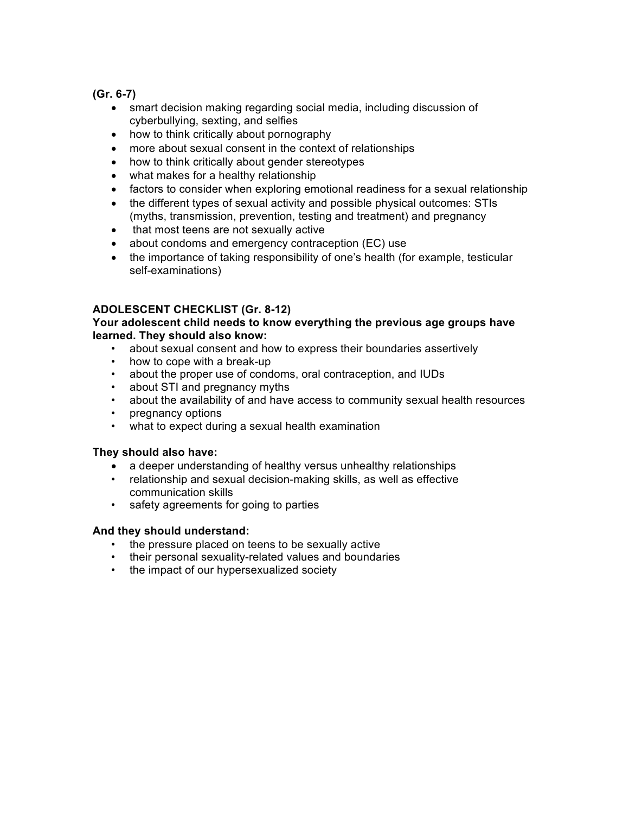**(Gr. 6-7)**

- smart decision making regarding social media, including discussion of cyberbullying, sexting, and selfies
- how to think critically about pornography
- more about sexual consent in the context of relationships
- how to think critically about gender stereotypes
- what makes for a healthy relationship
- factors to consider when exploring emotional readiness for a sexual relationship
- the different types of sexual activity and possible physical outcomes: STIs (myths, transmission, prevention, testing and treatment) and pregnancy
- that most teens are not sexually active
- about condoms and emergency contraception (EC) use
- the importance of taking responsibility of one's health (for example, testicular self-examinations)

# **ADOLESCENT CHECKLIST (Gr. 8-12)**

### **Your adolescent child needs to know everything the previous age groups have learned. They should also know:**

- about sexual consent and how to express their boundaries assertively
- how to cope with a break-up
- about the proper use of condoms, oral contraception, and IUDs
- about STI and pregnancy myths
- about the availability of and have access to community sexual health resources
- pregnancy options
- what to expect during a sexual health examination

## **They should also have:**

- a deeper understanding of healthy versus unhealthy relationships
- relationship and sexual decision-making skills, as well as effective communication skills
- safety agreements for going to parties

### **And they should understand:**

- the pressure placed on teens to be sexually active
- their personal sexuality-related values and boundaries
- the impact of our hypersexualized society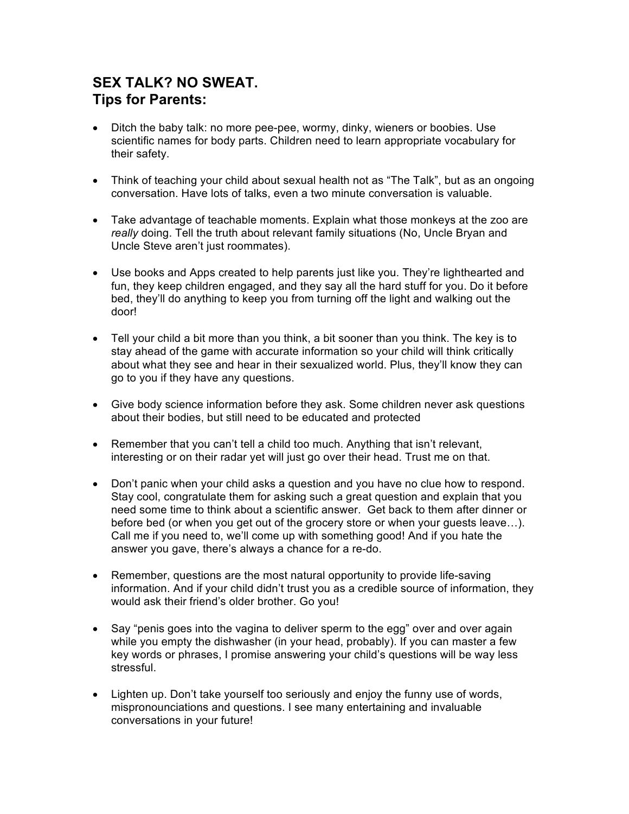# **SEX TALK? NO SWEAT. Tips for Parents:**

- Ditch the baby talk: no more pee-pee, wormy, dinky, wieners or boobies. Use scientific names for body parts. Children need to learn appropriate vocabulary for their safety.
- Think of teaching your child about sexual health not as "The Talk", but as an ongoing conversation. Have lots of talks, even a two minute conversation is valuable.
- Take advantage of teachable moments. Explain what those monkeys at the zoo are *really* doing. Tell the truth about relevant family situations (No, Uncle Bryan and Uncle Steve aren't just roommates).
- Use books and Apps created to help parents just like you. They're lighthearted and fun, they keep children engaged, and they say all the hard stuff for you. Do it before bed, they'll do anything to keep you from turning off the light and walking out the door!
- Tell your child a bit more than you think, a bit sooner than you think. The key is to stay ahead of the game with accurate information so your child will think critically about what they see and hear in their sexualized world. Plus, they'll know they can go to you if they have any questions.
- Give body science information before they ask. Some children never ask questions about their bodies, but still need to be educated and protected
- Remember that you can't tell a child too much. Anything that isn't relevant, interesting or on their radar yet will just go over their head. Trust me on that.
- Don't panic when your child asks a question and you have no clue how to respond. Stay cool, congratulate them for asking such a great question and explain that you need some time to think about a scientific answer. Get back to them after dinner or before bed (or when you get out of the grocery store or when your guests leave…). Call me if you need to, we'll come up with something good! And if you hate the answer you gave, there's always a chance for a re-do.
- Remember, questions are the most natural opportunity to provide life-saving information. And if your child didn't trust you as a credible source of information, they would ask their friend's older brother. Go you!
- Say "penis goes into the vagina to deliver sperm to the egg" over and over again while you empty the dishwasher (in your head, probably). If you can master a few key words or phrases, I promise answering your child's questions will be way less stressful.
- Lighten up. Don't take yourself too seriously and enjoy the funny use of words, mispronounciations and questions. I see many entertaining and invaluable conversations in your future!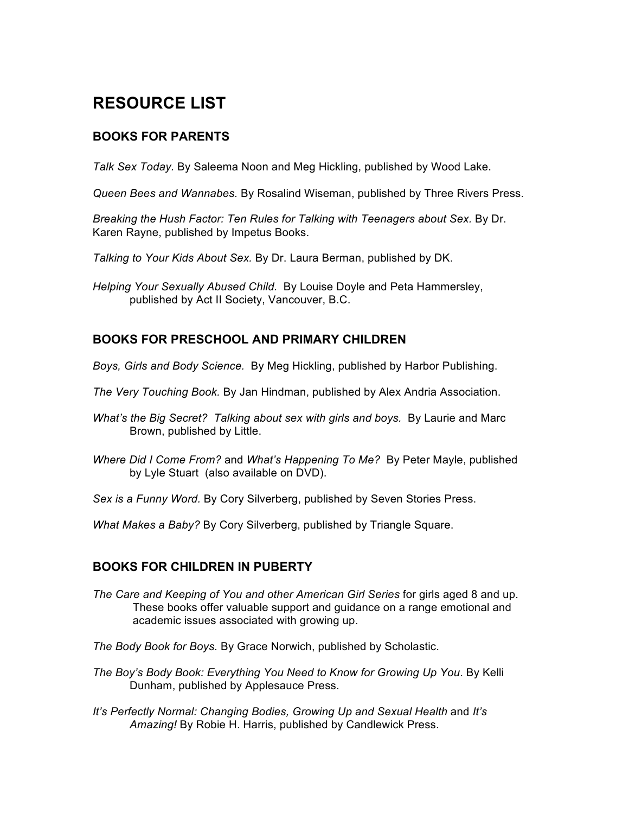# **RESOURCE LIST**

# **BOOKS FOR PARENTS**

*Talk Sex Today.* By Saleema Noon and Meg Hickling, published by Wood Lake.

*Queen Bees and Wannabes.* By Rosalind Wiseman, published by Three Rivers Press.

*Breaking the Hush Factor: Ten Rules for Talking with Teenagers about Sex.* By Dr. Karen Rayne, published by Impetus Books.

*Talking to Your Kids About Sex.* By Dr. Laura Berman, published by DK.

*Helping Your Sexually Abused Child.* By Louise Doyle and Peta Hammersley, published by Act II Society, Vancouver, B.C.

# **BOOKS FOR PRESCHOOL AND PRIMARY CHILDREN**

- *Boys, Girls and Body Science.* By Meg Hickling, published by Harbor Publishing.
- *The Very Touching Book.* By Jan Hindman, published by Alex Andria Association.
- *What's the Big Secret? Talking about sex with girls and boys. By Laurie and Marc* Brown, published by Little.
- *Where Did I Come From?* and *What's Happening To Me?* By Peter Mayle, published by Lyle Stuart (also available on DVD).

*Sex is a Funny Word.* By Cory Silverberg, published by Seven Stories Press.

*What Makes a Baby?* By Cory Silverberg, published by Triangle Square.

## **BOOKS FOR CHILDREN IN PUBERTY**

- *The Care and Keeping of You and other American Girl Series* for girls aged 8 and up. These books offer valuable support and guidance on a range emotional and academic issues associated with growing up.
- *The Body Book for Boys.* By Grace Norwich, published by Scholastic.
- *The Boy's Body Book: Everything You Need to Know for Growing Up You*. By Kelli Dunham, published by Applesauce Press.
- *It's Perfectly Normal: Changing Bodies, Growing Up and Sexual Health* and *It's Amazing!* By Robie H. Harris, published by Candlewick Press.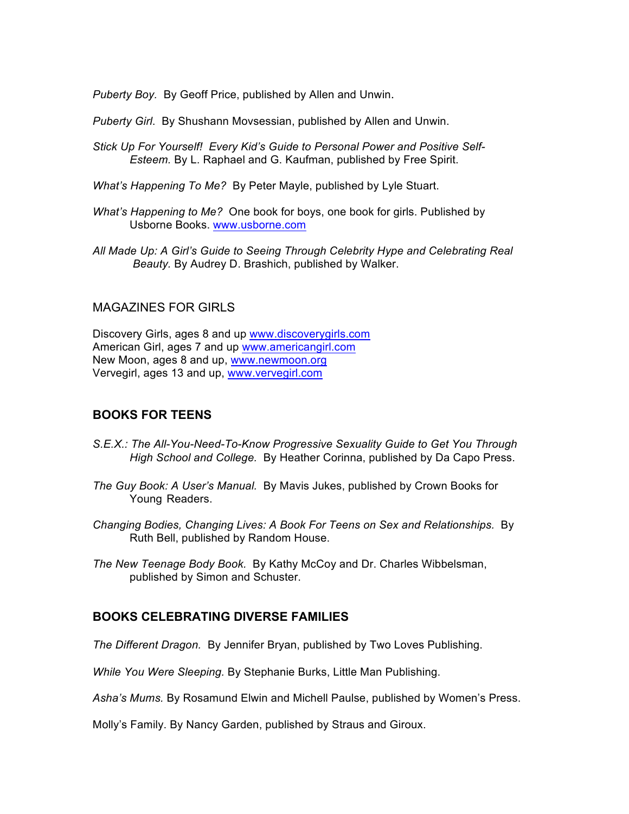*Puberty Boy.* By Geoff Price, published by Allen and Unwin.

*Puberty Girl*. By Shushann Movsessian, published by Allen and Unwin.

- *Stick Up For Yourself! Every Kid's Guide to Personal Power and Positive Self-Esteem.* By L. Raphael and G. Kaufman, published by Free Spirit.
- *What's Happening To Me?* By Peter Mayle, published by Lyle Stuart.
- *What's Happening to Me?* One book for boys, one book for girls. Published by Usborne Books. www.usborne.com
- *All Made Up: A Girl's Guide to Seeing Through Celebrity Hype and Celebrating Real Beauty.* By Audrey D. Brashich, published by Walker.

## MAGAZINES FOR GIRLS

Discovery Girls, ages 8 and up www.discoverygirls.com American Girl, ages 7 and up www.americangirl.com New Moon, ages 8 and up, www.newmoon.org Vervegirl, ages 13 and up, www.vervegirl.com

## **BOOKS FOR TEENS**

- *S.E.X.: The All-You-Need-To-Know Progressive Sexuality Guide to Get You Through High School and College.* By Heather Corinna, published by Da Capo Press.
- *The Guy Book: A User's Manual.* By Mavis Jukes, published by Crown Books for Young Readers.
- *Changing Bodies, Changing Lives: A Book For Teens on Sex and Relationships.* By Ruth Bell, published by Random House.
- *The New Teenage Body Book.* By Kathy McCoy and Dr. Charles Wibbelsman, published by Simon and Schuster.

## **BOOKS CELEBRATING DIVERSE FAMILIES**

*The Different Dragon.* By Jennifer Bryan, published by Two Loves Publishing.

*While You Were Sleeping.* By Stephanie Burks, Little Man Publishing.

*Asha's Mums.* By Rosamund Elwin and Michell Paulse, published by Women's Press.

Molly's Family. By Nancy Garden, published by Straus and Giroux.